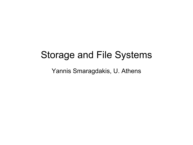#### Storage and File Systems

Yannis Smaragdakis, U. Athens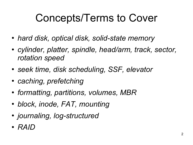#### Concepts/Terms to Cover

- *hard disk, optical disk, solid-state memory*
- *cylinder, platter, spindle, head/arm, track, sector, rotation speed*
- *seek time, disk scheduling, SSF, elevator*
- *caching, prefetching*
- *formatting, partitions, volumes, MBR*
- *block, inode, FAT, mounting*
- *journaling, log-structured*
- *RAID*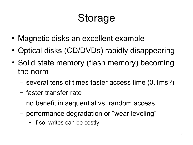### Storage

- Magnetic disks an excellent example
- Optical disks (CD/DVDs) rapidly disappearing
- Solid state memory (flash memory) becoming the norm
	- several tens of times faster access time (0.1ms?)
	- faster transfer rate
	- no benefit in sequential vs. random access
	- performance degradation or "wear leveling"
		- if so, writes can be costly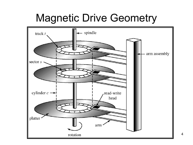#### Magnetic Drive Geometry

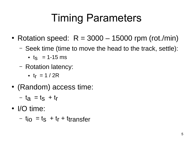## Timing Parameters

- Rotation speed:  $R = 3000 15000$  rpm (rot./min)
	- Seek time (time to move the head to the track, settle):
		- $t_S$  = 1-15 ms
	- Rotation latency:
		- $t_f = 1 / 2R$
- (Random) access time:
	- $t_a = t_s + t_r$
- I/O time:

–  $t_{i0} = t_s + t_r + t_{transfer}$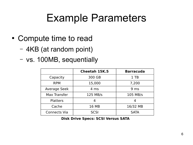#### Example Parameters

- Compute time to read
	- 4KB (at random point)
	- vs. 100MB, sequentially

|                     | <b>Cheetah 15K.5</b> | <b>Barracuda</b> |
|---------------------|----------------------|------------------|
| Capacity            | 300 GB               | $1$ TB           |
| <b>RPM</b>          | 15,000               | 7,200            |
| <b>Average Seek</b> | $4 \text{ ms}$       | 9 <sub>ms</sub>  |
| Max Transfer        | 125 MB/s             | 105 MB/s         |
| <b>Platters</b>     |                      |                  |
| Cache               | 16 MB                | 16/32 MB         |
| <b>Connects Via</b> | <b>SCSI</b>          | <b>SATA</b>      |

**Disk Drive Specs: SCSI Versus SATA**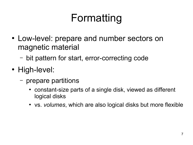## Formatting

- Low-level: prepare and number sectors on magnetic material
	- bit pattern for start, error-correcting code
- High-level:
	- prepare partitions
		- constant-size parts of a single disk, viewed as different logical disks
		- vs. *volumes*, which are also logical disks but more flexible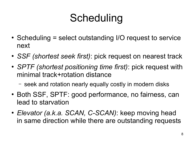## Scheduling

- $\bullet$  Scheduling = select outstanding I/O request to service next
- *SSF (shortest seek first)*: pick request on nearest track
- *SPTF (shortest positioning time first)*: pick request with minimal track+rotation distance
	- seek and rotation nearly equally costly in modern disks
- Both SSF, SPTF: good performance, no fairness, can lead to starvation
- *Elevator (a.k.a. SCAN, C-SCAN)*: keep moving head in same direction while there are outstanding requests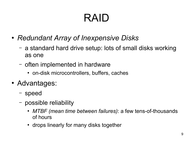## RAID

- *Redundant Array of Inexpensive Disks*
	- a standard hard drive setup: lots of small disks working as one
	- often implemented in hardware
		- on-disk microcontrollers, buffers, caches
- Advantages:
	- speed
	- possible reliability
		- *MTBF (mean time between failures)*: a few tens-of-thousands of hours
		- drops linearly for many disks together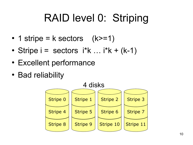#### RAID level 0: Striping

- 1 stripe =  $k$  sectors  $(k>=1)$
- Stripe  $i =$  sectors  $i^*k$  ...  $i^*k + (k-1)$
- Excellent performance
- Bad reliability

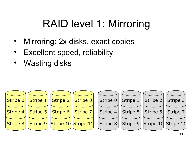#### RAID level 1: Mirroring

- Mirroring: 2x disks, exact copies
- Excellent speed, reliability
- Wasting disks

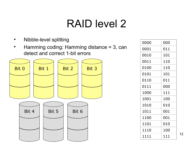- Nibble-level splitting
- Hamming coding: Hamming distance = 3, can detect and correct 1-bit errors



| 0000 | 000 |
|------|-----|
| 0001 | 011 |
| 0010 | 101 |
| 0011 | 110 |
| 0100 | 110 |
| 0101 | 101 |
| 0110 | 011 |
| 0111 | 000 |
| 1000 | 111 |
| 1001 | 100 |
| 1010 | 010 |
| 1011 | 001 |
| 1100 | 001 |
| 1101 | 010 |
| 1110 | 100 |
| 1111 | 111 |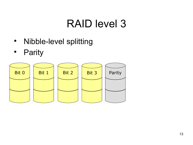- Nibble-level splitting
- Parity

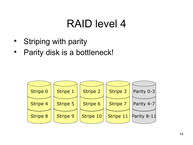- **Striping with parity**
- Parity disk is a bottleneck!

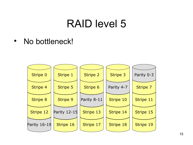• No bottleneck!

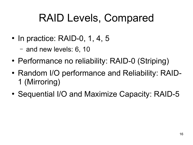#### RAID Levels, Compared

- $\bullet$  In practice: RAID-0, 1, 4, 5
	- and new levels: 6, 10
- Performance no reliability: RAID-0 (Striping)
- Random I/O performance and Reliability: RAID-1 (Mirroring)
- Sequential I/O and Maximize Capacity: RAID-5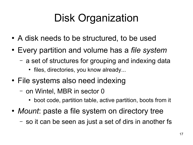## Disk Organization

- A disk needs to be structured, to be used
- Every partition and volume has a *file system* 
	- a set of structures for grouping and indexing data
		- files, directories, you know already...
- File systems also need indexing
	- on Wintel, MBR in sector 0
		- boot code, partition table, active partition, boots from it
- *Mount*: paste a file system on directory tree
	- so it can be seen as just a set of dirs in another fs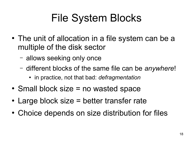## File System Blocks

- The unit of allocation in a file system can be a multiple of the disk sector
	- allows seeking only once
	- different blocks of the same file can be *anywhere*!
		- in practice, not that bad: *defragmentation*
- $\bullet$  Small block size = no wasted space
- Large block size = better transfer rate
- Choice depends on size distribution for files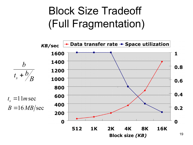#### Block Size Tradeoff (Full Fragmentation)

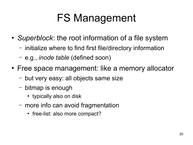## FS Management

- *Superblock*: the root information of a file system
	- initialize where to find first file/directory information
	- e.g., *inode table* (defined soon)
- Free space management: like a memory allocator
	- but very easy: all objects same size
	- bitmap is enough
		- typically also on disk
	- more info can avoid fragmentation
		- free-list: also more compact?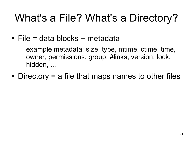## What's a File? What's a Directory?

- $\bullet$  File = data blocks + metadata
	- example metadata: size, type, mtime, ctime, time, owner, permissions, group, #links, version, lock, hidden, ...
- Directory  $=$  a file that maps names to other files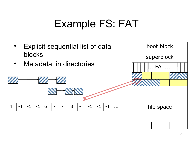#### Example FS: FAT

- **Explicit sequential list of data** blocks
- Metadata: in directories



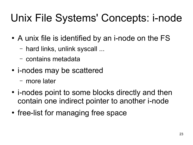## Unix File Systems' Concepts: i-node

- A unix file is identified by an i-node on the FS
	- hard links, unlink syscall ...
	- contains metadata
- i-nodes may be scattered
	- more later
- i-nodes point to some blocks directly and then contain one indirect pointer to another i-node
- free-list for managing free space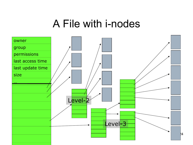#### A File with i-nodes

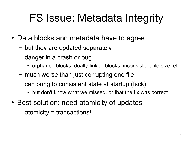## FS Issue: Metadata Integrity

- Data blocks and metadata have to agree
	- but they are updated separately
	- danger in a crash or bug
		- orphaned blocks, dually-linked blocks, inconsistent file size, etc.
	- much worse than just corrupting one file
	- can bring to consistent state at startup (fsck)
		- but don't know what we missed, or that the fix was correct
- Best solution: need atomicity of updates
	- atomicity = transactions!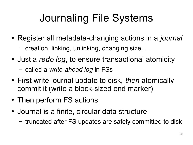## Journaling File Systems

- Register all metadata-changing actions in a *journal* – creation, linking, unlinking, changing size, ...
- Just a *redo log*, to ensure transactional atomicity
	- called a *write-ahead log* in FSs
- First write journal update to disk, *then* atomically commit it (write a block-sized end marker)
- Then perform FS actions
- Journal is a finite, circular data structure
	- truncated after FS updates are safely committed to disk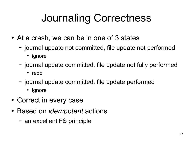## Journaling Correctness

- At a crash, we can be in one of 3 states
	- journal update not committed, file update not performed
		- ignore
	- journal update committed, file update not fully performed
		- redo
	- journal update committed, file update performed
		- ignore
- Correct in every case
- Based on *idempotent* actions
	- an excellent FS principle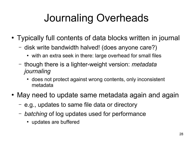## Journaling Overheads

- Typically full contents of data blocks written in journal
	- disk write bandwidth halved! (does anyone care?)
		- with an extra seek in there: large overhead for small files
	- though there is a lighter-weight version: *metadata journaling*
		- does not protect against wrong contents, only inconsistent metadata
- May need to update same metadata again and again
	- e.g., updates to same file data or directory
	- *batching* of log updates used for performance
		- updates are buffered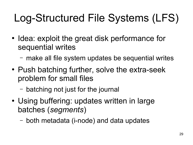# Log-Structured File Systems (LFS)

- Idea: exploit the great disk performance for sequential writes
	- make all file system updates be sequential writes
- Push batching further, solve the extra-seek problem for small files
	- batching not just for the journal
- Using buffering: updates written in large batches (*segments*)
	- both metadata (i-node) and data updates